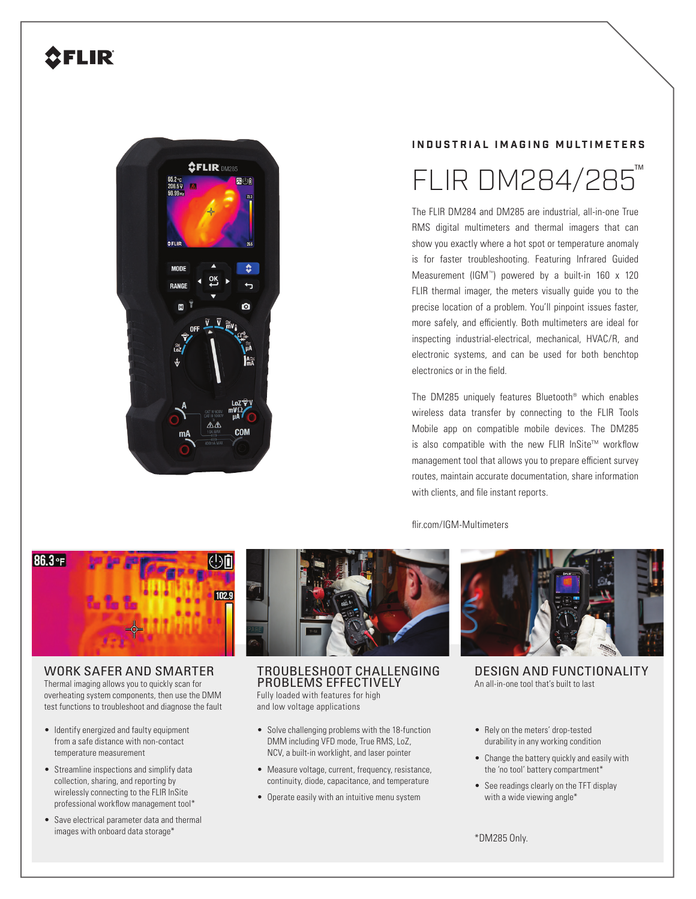# **2FLIR**



# **INDUSTRIAL IMAGING MULTIMETERS**

# FLIR DM284/285

The FLIR DM284 and DM285 are industrial, all-in-one True RMS digital multimeters and thermal imagers that can show you exactly where a hot spot or temperature anomaly is for faster troubleshooting. Featuring Infrared Guided Measurement (IGM™) powered by a built-in 160 x 120 FLIR thermal imager, the meters visually guide you to the precise location of a problem. You'll pinpoint issues faster, more safely, and efficiently. Both multimeters are ideal for inspecting industrial-electrical, mechanical, HVAC/R, and electronic systems, and can be used for both benchtop electronics or in the field.

The DM285 uniquely features Bluetooth® which enables wireless data transfer by connecting to the FLIR Tools Mobile app on compatible mobile devices. The DM285 is also compatible with the new FLIR InSite™ workflow management tool that allows you to prepare efficient survey routes, maintain accurate documentation, share information with clients, and file instant reports.

#### flir.com/IGM-Multimeters



## WORK SAFER AND SMARTER

Thermal imaging allows you to quickly scan for overheating system components, then use the DMM test functions to troubleshoot and diagnose the fault

- Identify energized and faulty equipment from a safe distance with non-contact temperature measurement
- Streamline inspections and simplify data collection, sharing, and reporting by wirelessly connecting to the FLIR InSite professional workflow management tool\*
- Save electrical parameter data and thermal images with onboard data storage\*



Fully loaded with features for high and low voltage applications

- Solve challenging problems with the 18-function DMM including VFD mode, True RMS, LoZ, NCV, a built-in worklight, and laser pointer
- Measure voltage, current, frequency, resistance, continuity, diode, capacitance, and temperature
- Operate easily with an intuitive menu system



- Rely on the meters' drop-tested durability in any working condition
- Change the battery quickly and easily with the 'no tool' battery compartment\*
- See readings clearly on the TFT display with a wide viewing angle\*

\*DM285 Only.